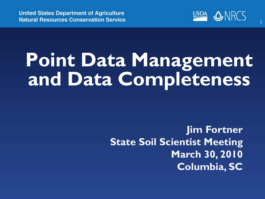

# **Point Data Management and Data Completeness**

**Jim Fortner State Soil Scientist Meeting March 30, 2010 Columbia, SC**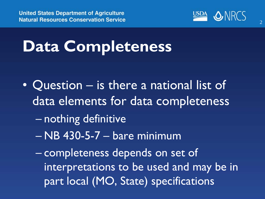

#### **Data Completeness**

- Question is there a national list of data elements for data completeness
	- nothing definitive
	- NB 430-5-7 bare minimum
	- completeness depends on set of interpretations to be used and may be in part local (MO, State) specifications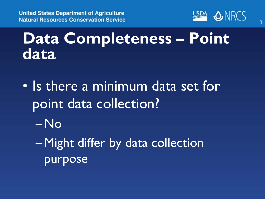**United States Department of Agriculture Natural Resources Conservation Service** 



#### **Data Completeness – Point data**

- Is there a minimum data set for point data collection?
	- –No
	- –Might differ by data collection purpose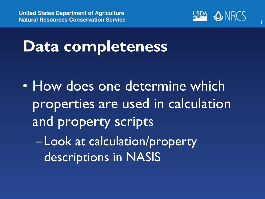

#### **Data completeness**

• How does one determine which properties are used in calculation and property scripts – Look at calculation/property descriptions in NASIS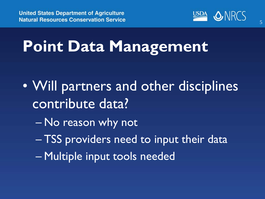

- Will partners and other disciplines contribute data?
	- No reason why not
	- TSS providers need to input their data
	- Multiple input tools needed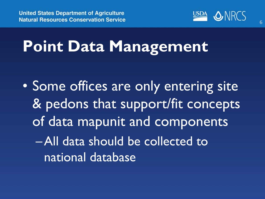

### **Point Data Management**

• Some offices are only entering site & pedons that support/fit concepts of data mapunit and components –All data should be collected to national database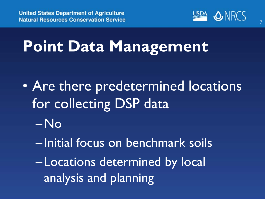

- Are there predetermined locations for collecting DSP data –No
	- Initial focus on benchmark soils
	- Locations determined by local analysis and planning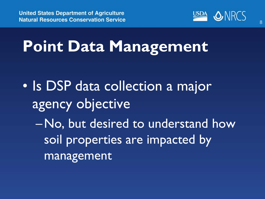

- Is DSP data collection a major agency objective
	- –No, but desired to understand how soil properties are impacted by management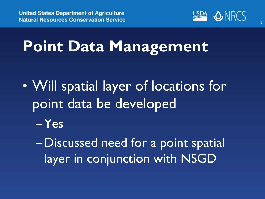

- Will spatial layer of locations for point data be developed –Yes
	- –Discussed need for a point spatial layer in conjunction with NSGD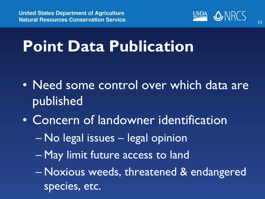

#### **Point Data Publication**

- Need some control over which data are published
- Concern of landowner identification
	- No legal issues legal opinion
	- May limit future access to land
	- Noxious weeds, threatened & endangered species, etc.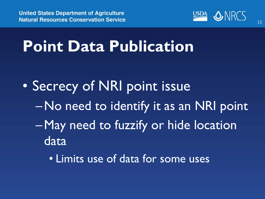

#### **Point Data Publication**

- Secrecy of NRI point issue –No need to identify it as an NRI point –May need to fuzzify or hide location data
	- Limits use of data for some uses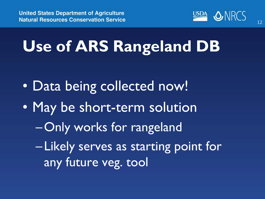

## **Use of ARS Rangeland DB**

- Data being collected now!
- May be short-term solution
	- –Only works for rangeland
	- Likely serves as starting point for any future veg. tool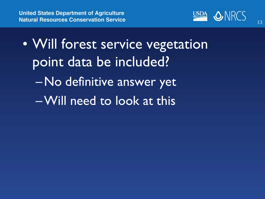

• Will forest service vegetation point data be included? –No definitive answer yet –Will need to look at this